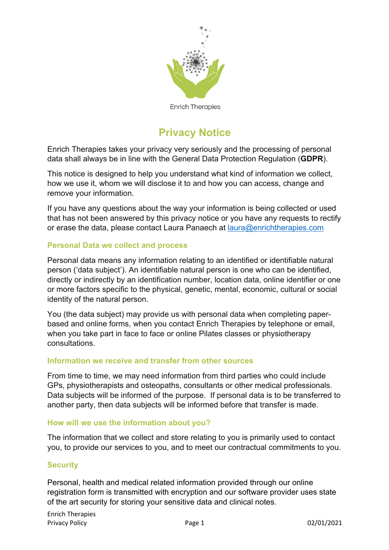

# **Privacy Notice**

Enrich Therapies takes your privacy very seriously and the processing of personal data shall always be in line with the General Data Protection Regulation (**GDPR**).

This notice is designed to help you understand what kind of information we collect, how we use it, whom we will disclose it to and how you can access, change and remove your information.

If you have any questions about the way your information is being collected or used that has not been answered by this privacy notice or you have any requests to rectify or erase the data, please contact Laura Panaech at laura@enrichtherapies.com

### **Personal Data we collect and process**

Personal data means any information relating to an identified or identifiable natural person ('data subject'). An identifiable natural person is one who can be identified, directly or indirectly by an identification number, location data, online identifier or one or more factors specific to the physical, genetic, mental, economic, cultural or social identity of the natural person.

You (the data subject) may provide us with personal data when completing paperbased and online forms, when you contact Enrich Therapies by telephone or email, when you take part in face to face or online Pilates classes or physiotherapy consultations.

#### **Information we receive and transfer from other sources**

From time to time, we may need information from third parties who could include GPs, physiotherapists and osteopaths, consultants or other medical professionals. Data subjects will be informed of the purpose. If personal data is to be transferred to another party, then data subjects will be informed before that transfer is made.

#### **How will we use the information about you?**

The information that we collect and store relating to you is primarily used to contact you, to provide our services to you, and to meet our contractual commitments to you.

## **Security**

Personal, health and medical related information provided through our online registration form is transmitted with encryption and our software provider uses state of the art security for storing your sensitive data and clinical notes.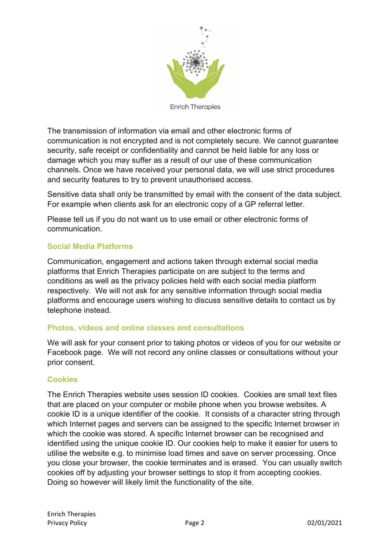

The transmission of information via email and other electronic forms of communication is not encrypted and is not completely secure. We cannot guarantee security, safe receipt or confidentiality and cannot be held liable for any loss or damage which you may suffer as a result of our use of these communication channels. Once we have received your personal data, we will use strict procedures and security features to try to prevent unauthorised access.

Sensitive data shall only be transmitted by email with the consent of the data subject. For example when clients ask for an electronic copy of a GP referral letter.

Please tell us if you do not want us to use email or other electronic forms of communication.

## **Social Media Platforms**

Communication, engagement and actions taken through external social media platforms that Enrich Therapies participate on are subject to the terms and conditions as well as the privacy policies held with each social media platform respectively. We will not ask for any sensitive information through social media platforms and encourage users wishing to discuss sensitive details to contact us by telephone instead.

## **Photos, videos and online classes and consultations**

We will ask for your consent prior to taking photos or videos of you for our website or Facebook page. We will not record any online classes or consultations without your prior consent.

## **Cookies**

The Enrich Therapies website uses session ID cookies. Cookies are small text files that are placed on your computer or mobile phone when you browse websites. A cookie ID is a unique identifier of the cookie. It consists of a character string through which Internet pages and servers can be assigned to the specific Internet browser in which the cookie was stored. A specific Internet browser can be recognised and identified using the unique cookie ID. Our cookies help to make it easier for users to utilise the website e.g. to minimise load times and save on server processing. Once you close your browser, the cookie terminates and is erased. You can usually switch cookies off by adjusting your browser settings to stop it from accepting cookies. Doing so however will likely limit the functionality of the site.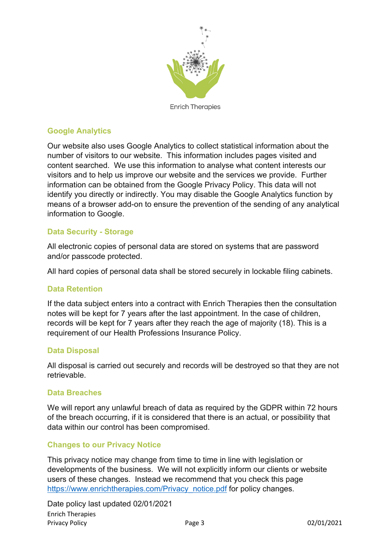

## **Google Analytics**

Our website also uses Google Analytics to collect statistical information about the number of visitors to our website. This information includes pages visited and content searched. We use this information to analyse what content interests our visitors and to help us improve our website and the services we provide. Further information can be obtained from the Google Privacy Policy. This data will not identify you directly or indirectly. You may disable the Google Analytics function by means of a browser add-on to ensure the prevention of the sending of any analytical information to Google.

## **Data Security - Storage**

All electronic copies of personal data are stored on systems that are password and/or passcode protected.

All hard copies of personal data shall be stored securely in lockable filing cabinets.

#### **Data Retention**

If the data subject enters into a contract with Enrich Therapies then the consultation notes will be kept for 7 years after the last appointment. In the case of children, records will be kept for 7 years after they reach the age of majority (18). This is a requirement of our Health Professions Insurance Policy.

#### **Data Disposal**

All disposal is carried out securely and records will be destroyed so that they are not retrievable.

#### **Data Breaches**

We will report any unlawful breach of data as required by the GDPR within 72 hours of the breach occurring, if it is considered that there is an actual, or possibility that data within our control has been compromised.

#### **Changes to our Privacy Notice**

This privacy notice may change from time to time in line with legislation or developments of the business. We will not explicitly inform our clients or website users of these changes. Instead we recommend that you check this page https://www.enrichtherapies.com/Privacy\_notice.pdf for policy changes.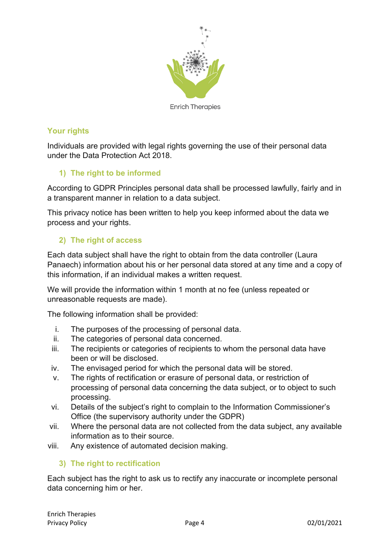

## **Your rights**

Individuals are provided with legal rights governing the use of their personal data under the Data Protection Act 2018.

## **1) The right to be informed**

According to GDPR Principles personal data shall be processed lawfully, fairly and in a transparent manner in relation to a data subject.

This privacy notice has been written to help you keep informed about the data we process and your rights.

## **2) The right of access**

Each data subject shall have the right to obtain from the data controller (Laura Panaech) information about his or her personal data stored at any time and a copy of this information, if an individual makes a written request.

We will provide the information within 1 month at no fee (unless repeated or unreasonable requests are made).

The following information shall be provided:

- i. The purposes of the processing of personal data.
- ii. The categories of personal data concerned.
- iii. The recipients or categories of recipients to whom the personal data have been or will be disclosed.
- iv. The envisaged period for which the personal data will be stored.
- v. The rights of rectification or erasure of personal data, or restriction of processing of personal data concerning the data subject, or to object to such processing.
- vi. Details of the subject's right to complain to the Information Commissioner's Office (the supervisory authority under the GDPR)
- vii. Where the personal data are not collected from the data subject, any available information as to their source.
- viii. Any existence of automated decision making.

## **3) The right to rectification**

Each subject has the right to ask us to rectify any inaccurate or incomplete personal data concerning him or her.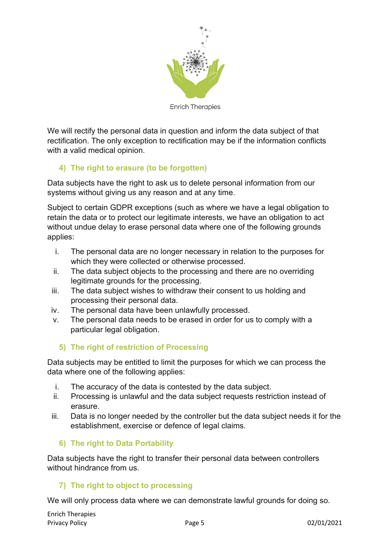

We will rectify the personal data in question and inform the data subject of that rectification. The only exception to rectification may be if the information conflicts with a valid medical opinion.

# **4) The right to erasure (to be forgotten)**

Data subjects have the right to ask us to delete personal information from our systems without giving us any reason and at any time.

Subject to certain GDPR exceptions (such as where we have a legal obligation to retain the data or to protect our legitimate interests, we have an obligation to act without undue delay to erase personal data where one of the following grounds applies:

- i. The personal data are no longer necessary in relation to the purposes for which they were collected or otherwise processed.
- ii. The data subject objects to the processing and there are no overriding legitimate grounds for the processing.
- iii. The data subject wishes to withdraw their consent to us holding and processing their personal data.
- iv. The personal data have been unlawfully processed.
- v. The personal data needs to be erased in order for us to comply with a particular legal obligation.

## **5) The right of restriction of Processing**

Data subjects may be entitled to limit the purposes for which we can process the data where one of the following applies:

- i. The accuracy of the data is contested by the data subject.
- ii. Processing is unlawful and the data subject requests restriction instead of erasure.
- iii. Data is no longer needed by the controller but the data subject needs it for the establishment, exercise or defence of legal claims.

## **6) The right to Data Portability**

Data subjects have the right to transfer their personal data between controllers without hindrance from us.

## **7) The right to object to processing**

We will only process data where we can demonstrate lawful grounds for doing so.